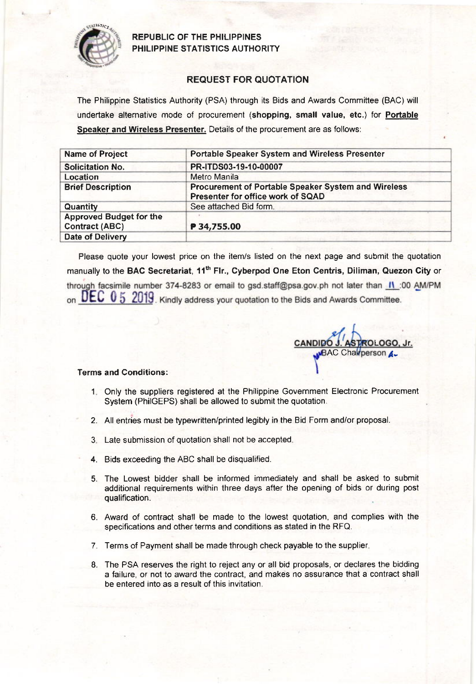

REPUBLIC OF THE PHILIPPINES PHILIPPINE STATISTICS AUTHORITY

## REQUEST FOR QUOTATION

The Philippine Statistics Authority (PSA) through its Bids and Awards Committee (BAC) will undertake alternative mode of procurement (shopping, small value, etc.) for Portable Speaker and Wireless Presenter. Details of the procurement are as follows:

| <b>Name of Project</b>                                  | <b>Portable Speaker System and Wireless Presenter</b>                                    |  |  |  |
|---------------------------------------------------------|------------------------------------------------------------------------------------------|--|--|--|
| <b>Solicitation No.</b>                                 | PR-ITDS03-19-10-00007                                                                    |  |  |  |
| Location                                                | Metro Manila                                                                             |  |  |  |
| <b>Brief Description</b>                                | Procurement of Portable Speaker System and Wireless<br>Presenter for office work of SQAD |  |  |  |
| Quantity                                                | See attached Bid form.                                                                   |  |  |  |
| <b>Approved Budget for the</b><br><b>Contract (ABC)</b> | P 34,755.00                                                                              |  |  |  |
| Date of Delivery                                        |                                                                                          |  |  |  |

Please quote your lowest price on the item/s listed on the next page and submit the quotation manually to the BAC Secretariat, 11<sup>th</sup> Flr., Cyberpod One Eton Centris, Diliman, Quezon City or through facsimile number 374-8283 or email to gsd.staff@psa.gov.ph not later than *II*:00 AM/PM on UEC 0 5 2019. Kindly address your quotation to the Bids and Awards Committee.

LOGO, Jr AC Charperson

## Terms and Conditions:

- 1 Only the suppliers registered at the Philippine Government Electronic Procurement System (PhilGEPS) shall be allowed to submit the quotation.
- 2. All entries must be typewritten/printed legibly in the Bid Form and/or proposal.
- 3. Late submission of quotation shall not be accepted.
- 4. Bids exceeding the ABC shall be disqualified.
- 5. The Lowest bidder shall be informed immediately and shall be asked to submit additional requirements within three days after the opening of bids or during post qualification.
- 6. Award of contract shall be made to the lowest quotation, and complies with the specifications and other terms and conditions as stated in the RFQ.
- 7. Terms of Payment shall be made through check payable to the supplier
- 8. The PSA reserves the right to reject any or all bid proposals, or declares the bidding a failure, or nol to award the contract, and makes no assurance that a contract shall be entered into as a result of this invitation.